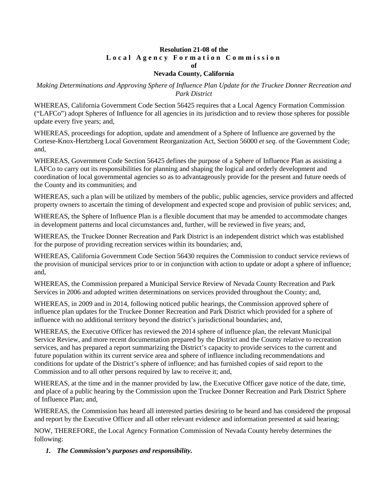## **Resolution 21-08 of the Local Agency Formation Commission of**

# **Nevada County, California**

*Making Determinations and Approving Sphere of Influence Plan Update for the Truckee Donner Recreation and Park District*

WHEREAS, California Government Code Section 56425 requires that a Local Agency Formation Commission ("LAFCo") adopt Spheres of Influence for all agencies in its jurisdiction and to review those spheres for possible update every five years; and,

WHEREAS, proceedings for adoption, update and amendment of a Sphere of Influence are governed by the Cortese-Knox-Hertzberg Local Government Reorganization Act, Section 56000 *et seq*. of the Government Code; and,

WHEREAS, Government Code Section 56425 defines the purpose of a Sphere of Influence Plan as assisting a LAFCo to carry out its responsibilities for planning and shaping the logical and orderly development and coordination of local governmental agencies so as to advantageously provide for the present and future needs of the County and its communities; and

WHEREAS, such a plan will be utilized by members of the public, public agencies, service providers and affected property owners to ascertain the timing of development and expected scope and provision of public services; and,

WHEREAS, the Sphere of Influence Plan is a flexible document that may be amended to accommodate changes in development patterns and local circumstances and, further, will be reviewed in five years; and,

WHEREAS, the Truckee Donner Recreation and Park District is an independent district which was established for the purpose of providing recreation services within its boundaries; and,

WHEREAS, California Government Code Section 56430 requires the Commission to conduct service reviews of the provision of municipal services prior to or in conjunction with action to update or adopt a sphere of influence; and,

WHEREAS, the Commission prepared a Municipal Service Review of Nevada County Recreation and Park Services in 2006 and adopted written determinations on services provided throughout the County; and,

WHEREAS, in 2009 and in 2014, following noticed public hearings, the Commission approved sphere of influence plan updates for the Truckee Donner Recreation and Park District which provided for a sphere of influence with no additional territory beyond the district's jurisdictional boundaries; and,

WHEREAS, the Executive Officer has reviewed the 2014 sphere of influence plan, the relevant Municipal Service Review, and more recent documentation prepared by the District and the County relative to recreation services, and has prepared a report summarizing the District's capacity to provide services to the current and future population within its current service area and sphere of influence including recommendations and conditions for update of the District's sphere of influence; and has furnished copies of said report to the Commission and to all other persons required by law to receive it; and,

WHEREAS, at the time and in the manner provided by law, the Executive Officer gave notice of the date, time, and place of a public hearing by the Commission upon the Truckee Donner Recreation and Park District Sphere of Influence Plan; and,

WHEREAS, the Commission has heard all interested parties desiring to be heard and has considered the proposal and report by the Executive Officer and all other relevant evidence and information presented at said hearing;

NOW, THEREFORE, the Local Agency Formation Commission of Nevada County hereby determines the following:

*1. The Commission's purposes and responsibility.*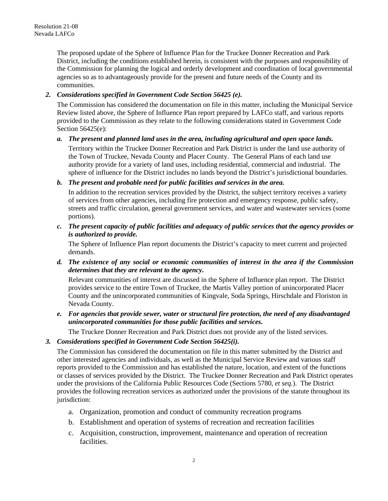The proposed update of the Sphere of Influence Plan for the Truckee Donner Recreation and Park District, including the conditions established herein, is consistent with the purposes and responsibility of the Commission for planning the logical and orderly development and coordination of local governmental agencies so as to advantageously provide for the present and future needs of the County and its communities.

## *2. Considerations specified in Government Code Section 56425 (e).*

The Commission has considered the documentation on file in this matter, including the Municipal Service Review listed above, the Sphere of Influence Plan report prepared by LAFCo staff, and various reports provided to the Commission as they relate to the following considerations stated in Government Code Section 56425(e):

#### *a. The present and planned land uses in the area, including agricultural and open space lands.*

Territory within the Truckee Donner Recreation and Park District is under the land use authority of the Town of Truckee, Nevada County and Placer County. The General Plans of each land use authority provide for a variety of land uses, including residential, commercial and industrial. The sphere of influence for the District includes no lands beyond the District's jurisdictional boundaries.

#### *b. The present and probable need for public facilities and services in the area.*

In addition to the recreation services provided by the District, the subject territory receives a variety of services from other agencies, including fire protection and emergency response, public safety, streets and traffic circulation, general government services, and water and wastewater services (some portions).

## *c. The present capacity of public facilities and adequacy of public services that the agency provides or is authorized to provide.*

The Sphere of Influence Plan report documents the District's capacity to meet current and projected demands.

*d. The existence of any social or economic communities of interest in the area if the Commission determines that they are relevant to the agency.*

Relevant communities of interest are discussed in the Sphere of Influence plan report. The District provides service to the entire Town of Truckee, the Martis Valley portion of unincorporated Placer County and the unincorporated communities of Kingvale, Soda Springs, Hirschdale and Floriston in Nevada County.

*e. For agencies that provide sewer, water or structural fire protection, the need of any disadvantaged unincorporated communities for those public facilities and services.*

The Truckee Donner Recreation and Park District does not provide any of the listed services.

## *3. Considerations specified in Government Code Section 56425(i).*

The Commission has considered the documentation on file in this matter submitted by the District and other interested agencies and individuals, as well as the Municipal Service Review and various staff reports provided to the Commission and has established the nature, location, and extent of the functions or classes of services provided by the District. The Truckee Donner Recreation and Park District operates under the provisions of the California Public Resources Code (Sections 5780, *et seq.*). The District provides the following recreation services as authorized under the provisions of the statute throughout its jurisdiction:

- a. Organization, promotion and conduct of community recreation programs
- b. Establishment and operation of systems of recreation and recreation facilities
- c. Acquisition, construction, improvement, maintenance and operation of recreation facilities.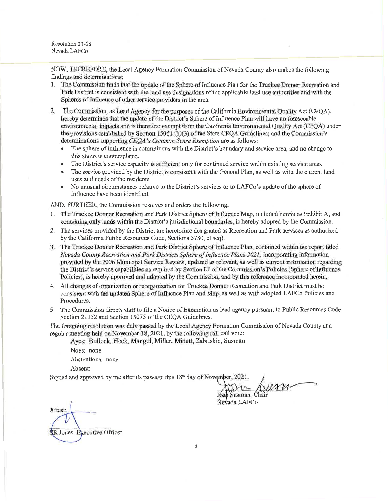Resolution 21-08 Nevada LAFCo

NOW, THEREFORE, the Local Agency Formation Commission of Nevada County also makes the following findings and determinations:

- 1. The Commission finds that the update of the Sphere of Influence Plan for the Truckee Donner Recreation and Park District is consistent with the land use designations of the applicable land use authorities and with the Spheres of Influence of other service providers in the area.
- 2. The Commission, as Lead Agency for the purposes of the California Environmental Quality Act (CEQA), hereby determines that the update of the District's Sphere of Influence Plan will have no foreseeable environmental impacts and is therefore exempt from the California Environmental Quality Act (CEQA) under the provisions established by Section 15061 (b)(3) of the State CEQA Guidelines; and the Commission's determinations supporting CEQA's Common Sense Exemption are as follows:
	- The sphere of influence is coterminous with the District's boundary and service area, and no change to  $\bullet$ this status is contemplated.
	- The District's service capacity is sufficient only for continued service within existing service areas.
	- The service provided by the District is consistent with the General Plan, as well as with the current land uses and needs of the residents.
	- No unusual circumstances relative to the District's services or to LAFCo's update of the sphere of  $\bullet$ influence have been identified.

AND, FURTHER, the Commission resolves and orders the following:

- 1. The Truckee Donner Recreation and Park District Sphere of Influence Map, included herein as Exhibit A, and containing only lands within the District's jurisdictional boundaries, is hereby adopted by the Commission.
- 2. The services provided by the District are heretofore designated as Recreation and Park services as authorized by the California Public Resources Code, Sections 5780, et seq).
- 3. The Truckee Donner Recreation and Park District Sphere of Influence Plan, contained within the report titled Nevada County Recreation and Park Districts Sphere of Influence Plans 2021, incorporating information provided by the 2006 Municipal Service Review, updated as relevant, as well as current information regarding the District's service capabilities as required by Section III of the Commission's Policies (Sphere of Influence Policies), is hereby approved and adopted by the Commission, and by this reference incorporated herein.
- 4. All changes of organization or reorganization for Truckee Donner Recreation and Park District must be consistent with the updated Sphere of Influence Plan and Map, as well as with adopted LAFCo Policies and Procedures.
- 5. The Commission directs staff to file a Notice of Exemption as lead agency pursuant to Public Resources Code Section 21152 and Section 15075 of the CEQA Guidelines.

The foregoing resolution was duly passed by the Local Agency Formation Commission of Nevada County at a regular meeting held on November 18, 2021, by the following roll call vote:

Ayes: Bullock, Heck, Mangel, Miller, Minett, Zabriskie, Susman

Noes: none Abstentions: none Absent:

Signed and approved by me after its passage this 18<sup>th</sup> day of November, 2021.

Susman, Chair

Nevada LAFCo

Attest: **SR** Jones, Executive Officer